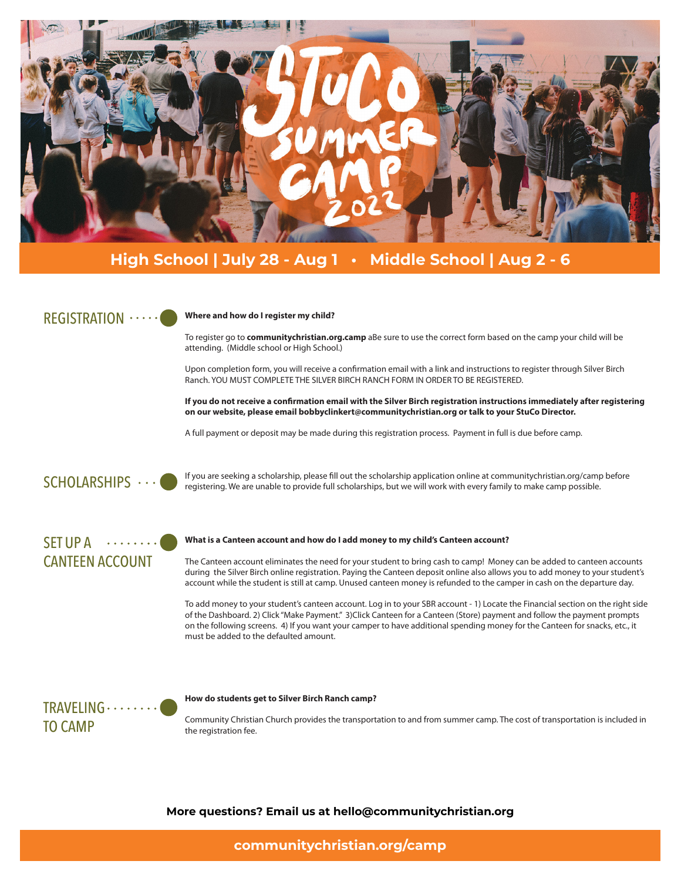

# **High School | July 28 - Aug 1 • Middle School | Aug 2 - 6**

### REGISTRATION ······

### **Where and how do I register my child?**

To register go to **communitychristian.org.camp** aBe sure to use the correct form based on the camp your child will be attending. (Middle school or High School.)

Upon completion form, you will receive a confirmation email with a link and instructions to register through Silver Birch Ranch. YOU MUST COMPLETE THE SILVER BIRCH RANCH FORM IN ORDER TO BE REGISTERED.

**If you do not receive a confirmation email with the Silver Birch registration instructions immediately after registering on our website, please email bobbyclinkert@communitychristian.org or talk to your StuCo Director.**

A full payment or deposit may be made during this registration process. Payment in full is due before camp.

SCHOLARSHIPS  $\cdots$ 

If you are seeking a scholarship, please fill out the scholarship application online at communitychristian.org/camp before registering. We are unable to provide full scholarships, but we will work with every family to make camp possible.

## $SET UP A$  ...... CANTEEN ACCOUNT

### **What is a Canteen account and how do I add money to my child's Canteen account?**

The Canteen account eliminates the need for your student to bring cash to camp! Money can be added to canteen accounts during the Silver Birch online registration. Paying the Canteen deposit online also allows you to add money to your student's account while the student is still at camp. Unused canteen money is refunded to the camper in cash on the departure day.

To add money to your student's canteen account. Log in to your SBR account - 1) Locate the Financial section on the right side of the Dashboard. 2) Click "Make Payment." 3)Click Canteen for a Canteen (Store) payment and follow the payment prompts on the following screens. 4) If you want your camper to have additional spending money for the Canteen for snacks, etc., it must be added to the defaulted amount.

# TRAVELING ....... TO CAMP

### **How do students get to Silver Birch Ranch camp?**

Community Christian Church provides the transportation to and from summer camp. The cost of transportation is included in the registration fee.

**More questions? Email us at hello@communitychristian.org**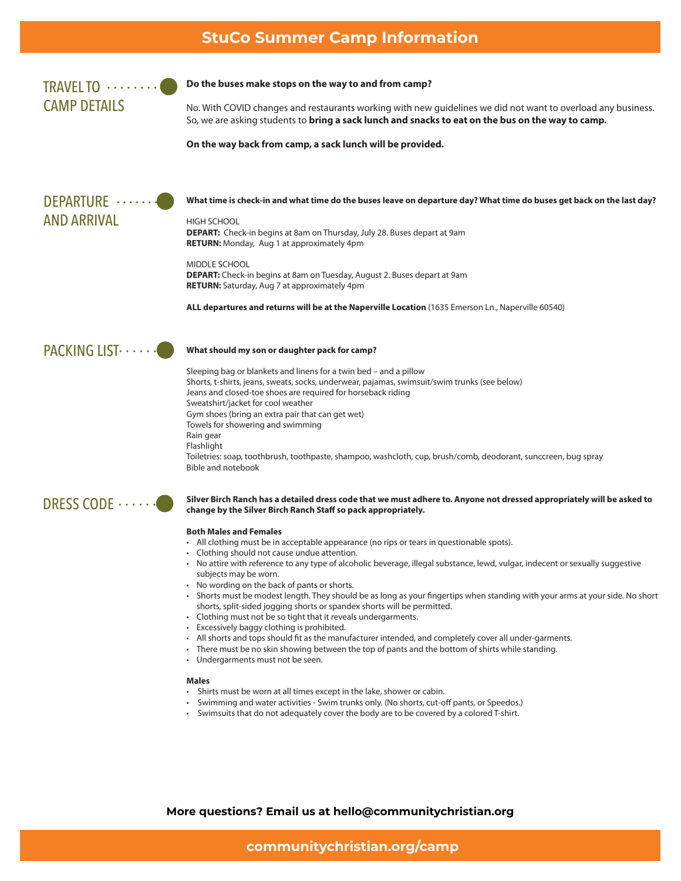## **StuCo Summer Camp Information**

TRAVEL TO  $\cdots$ CAMP DETAILS

### **Do the buses make stops on the way to and from camp?**

No. With COVID changes and restaurants working with new guidelines we did not want to overload any business. So, we are asking students to **bring a sack lunch and snacks to eat on the bus on the way to camp.**

**On the way back from camp, a sack lunch will be provided.** 



**What time is check-in and what time do the buses leave on departure day? What time do buses get back on the last day?**

HIGH SCHOOL **DEPART:** Check-in begins at 8am on Thursday, July 28. Buses depart at 9am **RETURN:** Monday, Aug 1 at approximately 4pm

MIDDLE SCHOOL **DEPART:** Check-in begins at 8am on Tuesday, August 2. Buses depart at 9am **RETURN:** Saturday, Aug 7 at approximately 4pm

**ALL departures and returns will be at the Naperville Location** (1635 Emerson Ln., Naperville 60540)



### **What should my son or daughter pack for camp?**

Sleeping bag or blankets and linens for a twin bed – and a pillow Shorts, t-shirts, jeans, sweats, socks, underwear, pajamas, swimsuit/swim trunks (see below) Jeans and closed-toe shoes are required for horseback riding Sweatshirt/jacket for cool weather Gym shoes (bring an extra pair that can get wet) Towels for showering and swimming Rain gear Flashlight Toiletries: soap, toothbrush, toothpaste, shampoo, washcloth, cup, brush/comb, deodorant, sunccreen, bug spray Bible and notebook



### **Silver Birch Ranch has a detailed dress code that we must adhere to. Anyone not dressed appropriately will be asked to change by the Silver Birch Ranch Staff so pack appropriately.**

### **Both Males and Females**

- All clothing must be in acceptable appearance (no rips or tears in questionable spots).
- Clothing should not cause undue attention.
- No attire with reference to any type of alcoholic beverage, illegal substance, lewd, vulgar, indecent or sexually suggestive subjects may be worn.
- No wording on the back of pants or shorts.
- Shorts must be modest length. They should be as long as your fingertips when standing with your arms at your side. No short shorts, split-sided jogging shorts or spandex shorts will be permitted.
- Clothing must not be so tight that it reveals undergarments.
- Excessively baggy clothing is prohibited.
- All shorts and tops should fit as the manufacturer intended, and completely cover all under-garments.
- There must be no skin showing between the top of pants and the bottom of shirts while standing.
- Undergarments must not be seen.

#### **Males**

- Shirts must be worn at all times except in the lake, shower or cabin.
- Swimming and water activities Swim trunks only. (No shorts, cut-off pants, or Speedos.)
- Swimsuits that do not adequately cover the body are to be covered by a colored T-shirt.

**More questions? Email us at hello@communitychristian.org**